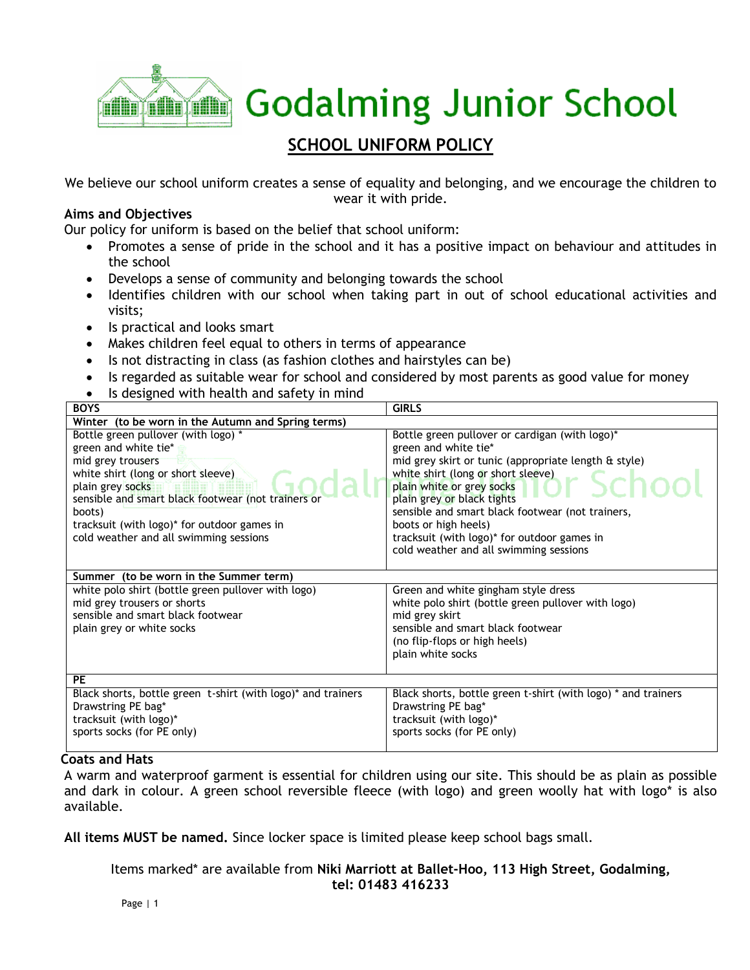

# **SCHOOL UNIFORM POLICY**

We believe our school uniform creates a sense of equality and belonging, and we encourage the children to wear it with pride.

# **Aims and Objectives**

Our policy for uniform is based on the belief that school uniform:

- Promotes a sense of pride in the school and it has a positive impact on behaviour and attitudes in the school
- Develops a sense of community and belonging towards the school
- Identifies children with our school when taking part in out of school educational activities and visits;
- Is practical and looks smart
- Makes children feel equal to others in terms of appearance
- Is not distracting in class (as fashion clothes and hairstyles can be)
- Is regarded as suitable wear for school and considered by most parents as good value for money
- Is designed with health and safety in mind

| <b>BOYS</b>                                                  | <b>GIRLS</b>                                                  |
|--------------------------------------------------------------|---------------------------------------------------------------|
| Winter (to be worn in the Autumn and Spring terms)           |                                                               |
| Bottle green pullover (with logo) *                          | Bottle green pullover or cardigan (with logo)*                |
| green and white tie*                                         | green and white tie*                                          |
| mid grey trousers                                            | mid grey skirt or tunic (appropriate length & style)          |
| white shirt (long or short sleeve)                           | white shirt (long or short sleeve)                            |
| plain grey socks                                             | plain white or grey socks                                     |
| sensible and smart black footwear (not trainers or           | plain grey or black tights                                    |
| boots)                                                       | sensible and smart black footwear (not trainers,              |
| tracksuit (with logo)* for outdoor games in                  | boots or high heels)                                          |
| cold weather and all swimming sessions                       | tracksuit (with logo)* for outdoor games in                   |
|                                                              | cold weather and all swimming sessions                        |
|                                                              |                                                               |
| Summer (to be worn in the Summer term)                       |                                                               |
| white polo shirt (bottle green pullover with logo)           | Green and white gingham style dress                           |
| mid grey trousers or shorts                                  | white polo shirt (bottle green pullover with logo)            |
| sensible and smart black footwear                            | mid grey skirt                                                |
| plain grey or white socks                                    | sensible and smart black footwear                             |
|                                                              | (no flip-flops or high heels)                                 |
|                                                              | plain white socks                                             |
|                                                              |                                                               |
| <b>PE</b>                                                    |                                                               |
| Black shorts, bottle green t-shirt (with logo)* and trainers | Black shorts, bottle green t-shirt (with logo) * and trainers |
| Drawstring PE bag*                                           | Drawstring PE bag*                                            |
| tracksuit (with logo)*                                       | tracksuit (with logo)*                                        |
| sports socks (for PE only)                                   | sports socks (for PE only)                                    |
|                                                              |                                                               |

# **Coats and Hats**

A warm and waterproof garment is essential for children using our site. This should be as plain as possible and dark in colour. A green school reversible fleece (with logo) and green woolly hat with logo\* is also available.

**All items MUST be named.** Since locker space is limited please keep school bags small.

Items marked\* are available from **Niki Marriott at Ballet-Hoo, 113 High Street, Godalming, tel: 01483 416233**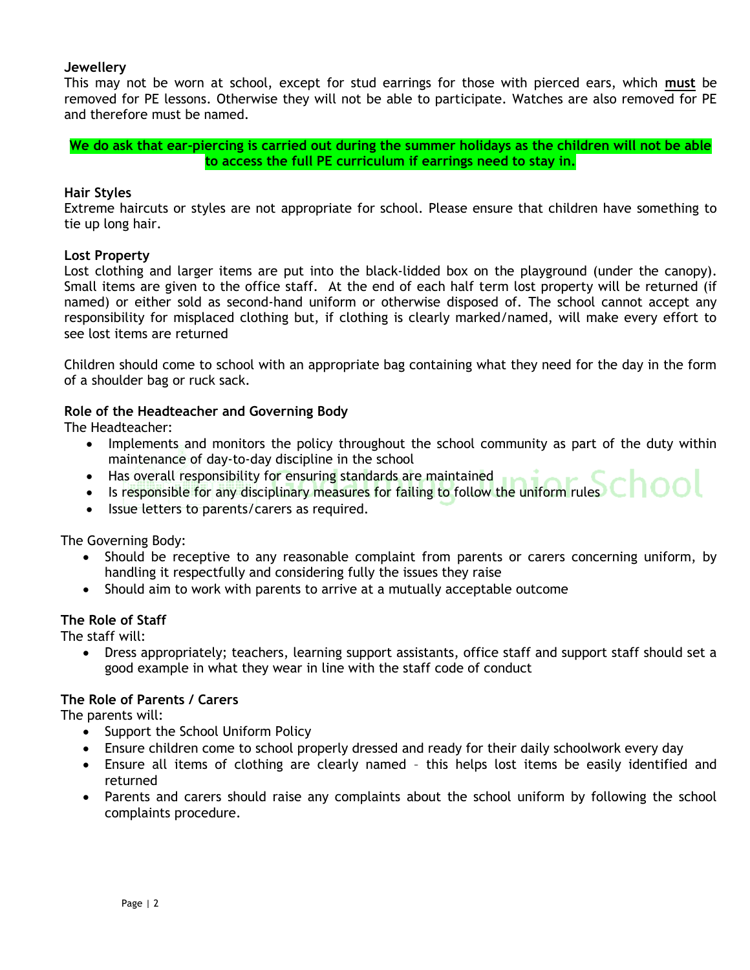## **Jewellery**

This may not be worn at school, except for stud earrings for those with pierced ears, which **must** be removed for PE lessons. Otherwise they will not be able to participate. Watches are also removed for PE and therefore must be named.

**We do ask that ear-piercing is carried out during the summer holidays as the children will not be able to access the full PE curriculum if earrings need to stay in.**

#### **Hair Styles**

Extreme haircuts or styles are not appropriate for school. Please ensure that children have something to tie up long hair.

#### **Lost Property**

Lost clothing and larger items are put into the black-lidded box on the playground (under the canopy). Small items are given to the office staff. At the end of each half term lost property will be returned (if named) or either sold as second-hand uniform or otherwise disposed of. The school cannot accept any responsibility for misplaced clothing but, if clothing is clearly marked/named, will make every effort to see lost items are returned

Children should come to school with an appropriate bag containing what they need for the day in the form of a shoulder bag or ruck sack.

#### **Role of the Headteacher and Governing Body**

The Headteacher:

- Implements and monitors the policy throughout the school community as part of the duty within maintenance of day-to-day discipline in the school
- Has overall responsibility for ensuring standards are maintained
- Is responsible for any disciplinary measures for failing to follow the uniform rules
- Issue letters to parents/carers as required.

The Governing Body:

- Should be receptive to any reasonable complaint from parents or carers concerning uniform, by handling it respectfully and considering fully the issues they raise
- Should aim to work with parents to arrive at a mutually acceptable outcome

#### **The Role of Staff**

The staff will:

 Dress appropriately; teachers, learning support assistants, office staff and support staff should set a good example in what they wear in line with the staff code of conduct

#### **The Role of Parents / Carers**

The parents will:

- Support the School Uniform Policy
- Ensure children come to school properly dressed and ready for their daily schoolwork every day
- Ensure all items of clothing are clearly named this helps lost items be easily identified and returned
- Parents and carers should raise any complaints about the school uniform by following the school complaints procedure.